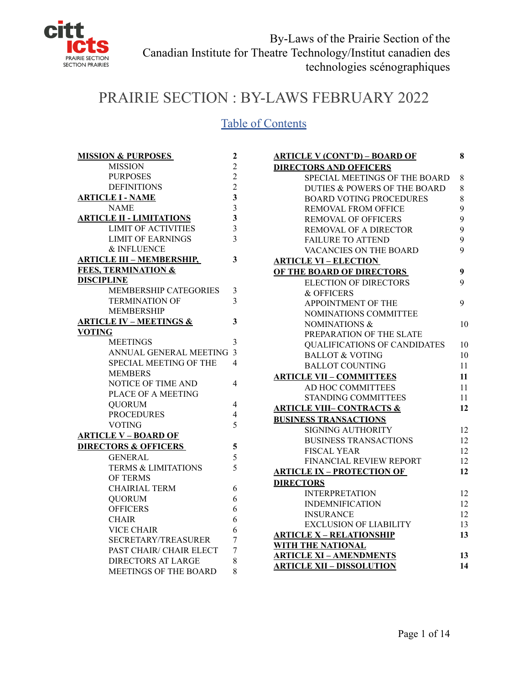

# PRAIRIE SECTION : BY-LAWS FEBRUARY 2022

## Table of Contents

| <b>MISSION &amp; PURPOSES</b>      | 2                        |
|------------------------------------|--------------------------|
| <b>MISSION</b>                     | $\overline{c}$           |
| <b>PURPOSES</b>                    | $\overline{2}$           |
| <b>DEFINITIONS</b>                 | $\overline{2}$           |
| <b>ARTICLE I - NAME</b>            | $\overline{\mathbf{3}}$  |
| <b>NAME</b>                        | $\overline{\mathbf{3}}$  |
| <b>ARTICLE II - LIMITATIONS</b>    | $\overline{\mathbf{3}}$  |
| <b>LIMIT OF ACTIVITIES</b>         | $\overline{\mathbf{3}}$  |
| <b>LIMIT OF EARNINGS</b>           | $\overline{3}$           |
| <b>&amp; INFLUENCE</b>             |                          |
| <b>ARTICLE III - MEMBERSHIP,</b>   | $\overline{\mathbf{3}}$  |
| <b>FEES, TERMINATION &amp;</b>     |                          |
| <b>DISCIPLINE</b>                  |                          |
| <b>MEMBERSHIP CATEGORIES</b>       | 3                        |
| <b>TERMINATION OF</b>              | $\overline{3}$           |
| <b>MEMBERSHIP</b>                  |                          |
| <b>ARTICLE IV - MEETINGS &amp;</b> | 3                        |
| <b>VOTING</b>                      |                          |
| <b>MEETINGS</b>                    | 3                        |
| ANNUAL GENERAL MEETING             | $\overline{\mathbf{3}}$  |
| SPECIAL MEETING OF THE             | $\overline{4}$           |
| <b>MEMBERS</b>                     |                          |
| NOTICE OF TIME AND                 | 4                        |
| PLACE OF A MEETING                 |                          |
| <b>QUORUM</b>                      | $\overline{\mathcal{L}}$ |
| <b>PROCEDURES</b>                  | 4                        |
| VOTING                             | 5                        |
| <b>ARTICLE V - BOARD OF</b>        |                          |
| <b>DIRECTORS &amp; OFFICERS</b>    | 5                        |
| <b>GENERAL</b>                     | 5                        |
| <b>TERMS &amp; LIMITATIONS</b>     | 5                        |
| <b>OF TERMS</b>                    |                          |
| <b>CHAIRIAL TERM</b>               | 6                        |
| <b>OUORUM</b>                      | 6                        |
| <b>OFFICERS</b>                    | 6                        |
| <b>CHAIR</b>                       | 6                        |
| <b>VICE CHAIR</b>                  | 6                        |
| <b>SECRETARY/TREASURER</b>         | 7                        |
| PAST CHAIR/ CHAIR ELECT            | 7                        |
| <b>DIRECTORS AT LARGE</b>          | 8                        |
| MEETINGS OF THE BOARD              | 8                        |

| <b>ARTICLE V (CONT'D) – BOARD OF</b> | 8  |
|--------------------------------------|----|
| <b>DIRECTORS AND OFFICERS</b>        |    |
| SPECIAL MEETINGS OF THE BOARD        | 8  |
| DUTIES & POWERS OF THE BOARD         | 8  |
| <b>BOARD VOTING PROCEDURES</b>       | 8  |
| <b>REMOVAL FROM OFFICE</b>           | 9  |
| <b>REMOVAL OF OFFICERS</b>           | 9  |
| REMOVAL OF A DIRECTOR                | 9  |
| <b>FAILURE TO ATTEND</b>             | 9  |
| VACANCIES ON THE BOARD               | 9  |
| <b>ARTICLE VI - ELECTION</b>         |    |
| OF THE BOARD OF DIRECTORS            | 9  |
| <b>ELECTION OF DIRECTORS</b>         | 9  |
| & OFFICERS                           |    |
| APPOINTMENT OF THE                   | 9  |
| NOMINATIONS COMMITTEE                |    |
| NOMINATIONS &                        | 10 |
| PREPARATION OF THE SLATE             |    |
| <b>OUALIFICATIONS OF CANDIDATES</b>  | 10 |
| <b>BALLOT &amp; VOTING</b>           | 10 |
| <b>BALLOT COUNTING</b>               | 11 |
| <b>ARTICLE VII - COMMITTEES</b>      | 11 |
| AD HOC COMMITTEES                    | 11 |
| <b>STANDING COMMITTEES</b>           | 11 |
| <b>ARTICLE VIII- CONTRACTS &amp;</b> | 12 |
| <b>BUSINESS TRANSACTIONS</b>         |    |
| <b>SIGNING AUTHORITY</b>             | 12 |
| <b>BUSINESS TRANSACTIONS</b>         | 12 |
| <b>FISCAL YEAR</b>                   | 12 |
| FINANCIAL REVIEW REPORT              | 12 |
| <b>ARTICLE IX - PROTECTION OF</b>    | 12 |
| <b>DIRECTORS</b>                     |    |
| <b>INTERPRETATION</b>                | 12 |
| <b>INDEMNIFICATION</b>               | 12 |
| <b>INSURANCE</b>                     | 12 |
| <b>EXCLUSION OF LIABILITY</b>        | 13 |
| <b>ARTICLE X - RELATIONSHIP</b>      | 13 |
| WITH THE NATIONAL                    |    |
| <b>ARTICLE XI - AMENDMENTS</b>       | 13 |
| <u> ARTICLE XII – DISSOLUTION</u>    | 14 |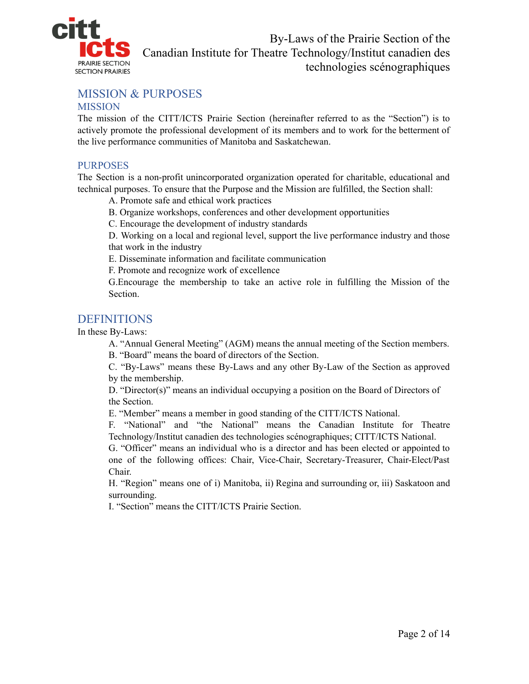

## MISSION & PURPOSES

#### **MISSION**

The mission of the CITT/ICTS Prairie Section (hereinafter referred to as the "Section") is to actively promote the professional development of its members and to work for the betterment of the live performance communities of Manitoba and Saskatchewan.

#### PURPOSES

The Section is a non-profit unincorporated organization operated for charitable, educational and technical purposes. To ensure that the Purpose and the Mission are fulfilled, the Section shall:

A. Promote safe and ethical work practices

B. Organize workshops, conferences and other development opportunities

C. Encourage the development of industry standards

D. Working on a local and regional level, support the live performance industry and those that work in the industry

E. Disseminate information and facilitate communication

F. Promote and recognize work of excellence

G.Encourage the membership to take an active role in fulfilling the Mission of the Section.

## **DEFINITIONS**

In these By-Laws:

A. "Annual General Meeting" (AGM) means the annual meeting of the Section members.

B. "Board" means the board of directors of the Section.

C. "By-Laws" means these By-Laws and any other By-Law of the Section as approved by the membership.

D. "Director(s)" means an individual occupying a position on the Board of Directors of the Section.

E. "Member" means a member in good standing of the CITT/ICTS National.

F. "National" and "the National" means the Canadian Institute for Theatre Technology/Institut canadien des technologies scénographiques; CITT/ICTS National.

G. "Officer" means an individual who is a director and has been elected or appointed to one of the following offices: Chair, Vice-Chair, Secretary-Treasurer, Chair-Elect/Past Chair.

H. "Region" means one of i) Manitoba, ii) Regina and surrounding or, iii) Saskatoon and surrounding.

I. "Section" means the CITT/ICTS Prairie Section.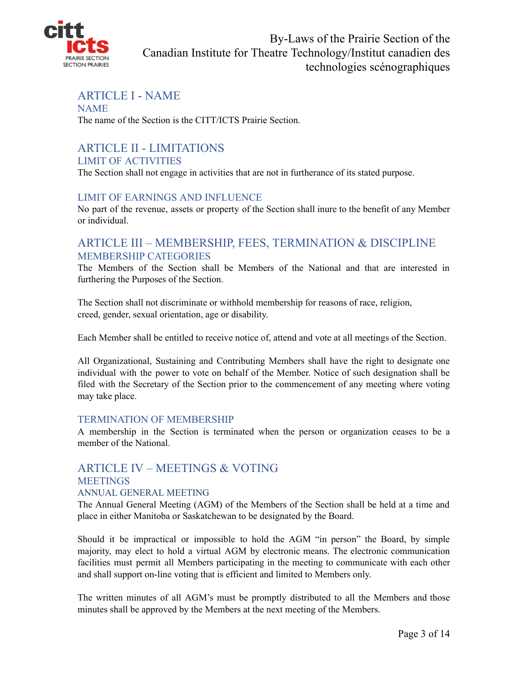

## ARTICLE I - NAME

#### NAME The name of the Section is the CITT/ICTS Prairie Section.

#### ARTICLE II - LIMITATIONS LIMIT OF ACTIVITIES

The Section shall not engage in activities that are not in furtherance of its stated purpose.

#### LIMIT OF EARNINGS AND INFLUENCE

No part of the revenue, assets or property of the Section shall inure to the benefit of any Member or individual.

## ARTICLE III – MEMBERSHIP, FEES, TERMINATION & DISCIPLINE MEMBERSHIP CATEGORIES

The Members of the Section shall be Members of the National and that are interested in furthering the Purposes of the Section.

The Section shall not discriminate or withhold membership for reasons of race, religion, creed, gender, sexual orientation, age or disability.

Each Member shall be entitled to receive notice of, attend and vote at all meetings of the Section.

All Organizational, Sustaining and Contributing Members shall have the right to designate one individual with the power to vote on behalf of the Member. Notice of such designation shall be filed with the Secretary of the Section prior to the commencement of any meeting where voting may take place.

#### TERMINATION OF MEMBERSHIP

A membership in the Section is terminated when the person or organization ceases to be a member of the National.

# ARTICLE IV – MEETINGS & VOTING

#### **MEETINGS**

#### ANNUAL GENERAL MEETING

The Annual General Meeting (AGM) of the Members of the Section shall be held at a time and place in either Manitoba or Saskatchewan to be designated by the Board.

Should it be impractical or impossible to hold the AGM "in person" the Board, by simple majority, may elect to hold a virtual AGM by electronic means. The electronic communication facilities must permit all Members participating in the meeting to communicate with each other and shall support on-line voting that is efficient and limited to Members only.

The written minutes of all AGM's must be promptly distributed to all the Members and those minutes shall be approved by the Members at the next meeting of the Members.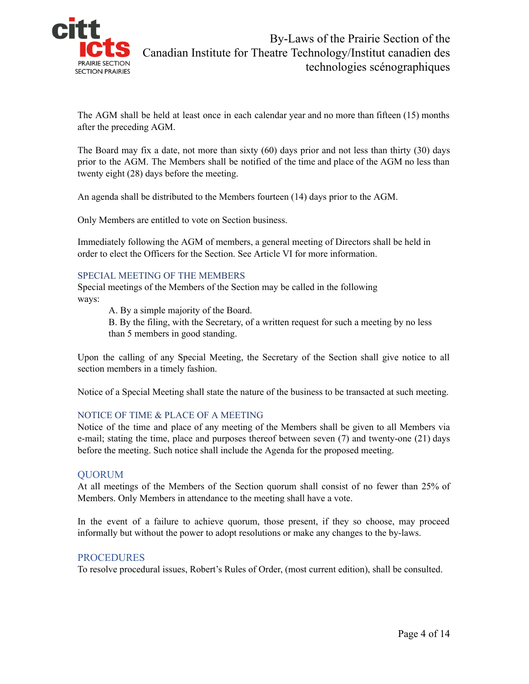

The AGM shall be held at least once in each calendar year and no more than fifteen (15) months after the preceding AGM.

The Board may fix a date, not more than sixty (60) days prior and not less than thirty (30) days prior to the AGM. The Members shall be notified of the time and place of the AGM no less than twenty eight (28) days before the meeting.

An agenda shall be distributed to the Members fourteen (14) days prior to the AGM.

Only Members are entitled to vote on Section business.

Immediately following the AGM of members, a general meeting of Directors shall be held in order to elect the Officers for the Section. See Article VI for more information.

#### SPECIAL MEETING OF THE MEMBERS

Special meetings of the Members of the Section may be called in the following ways:

A. By a simple majority of the Board.

B. By the filing, with the Secretary, of a written request for such a meeting by no less than 5 members in good standing.

Upon the calling of any Special Meeting, the Secretary of the Section shall give notice to all section members in a timely fashion.

Notice of a Special Meeting shall state the nature of the business to be transacted at such meeting.

#### NOTICE OF TIME & PLACE OF A MEETING

Notice of the time and place of any meeting of the Members shall be given to all Members via e-mail; stating the time, place and purposes thereof between seven (7) and twenty-one (21) days before the meeting. Such notice shall include the Agenda for the proposed meeting.

#### QUORUM

At all meetings of the Members of the Section quorum shall consist of no fewer than 25% of Members. Only Members in attendance to the meeting shall have a vote.

In the event of a failure to achieve quorum, those present, if they so choose, may proceed informally but without the power to adopt resolutions or make any changes to the by-laws.

#### PROCEDURES

To resolve procedural issues, Robert's Rules of Order, (most current edition), shall be consulted.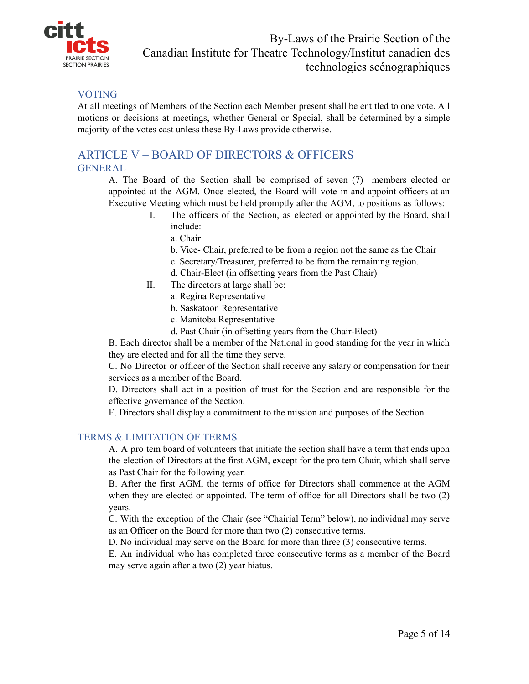

## VOTING

At all meetings of Members of the Section each Member present shall be entitled to one vote. All motions or decisions at meetings, whether General or Special, shall be determined by a simple majority of the votes cast unless these By-Laws provide otherwise.

## ARTICLE V – BOARD OF DIRECTORS & OFFICERS GENERAL

A. The Board of the Section shall be comprised of seven (7) members elected or appointed at the AGM. Once elected, the Board will vote in and appoint officers at an Executive Meeting which must be held promptly after the AGM, to positions as follows:

- I. The officers of the Section, as elected or appointed by the Board, shall include:
	- a. Chair
	- b. Vice- Chair, preferred to be from a region not the same as the Chair
	- c. Secretary/Treasurer, preferred to be from the remaining region.
	- d. Chair-Elect (in offsetting years from the Past Chair)
- II. The directors at large shall be:
	- a. Regina Representative
	- b. Saskatoon Representative
	- c. Manitoba Representative
	- d. Past Chair (in offsetting years from the Chair-Elect)

B. Each director shall be a member of the National in good standing for the year in which they are elected and for all the time they serve.

C. No Director or officer of the Section shall receive any salary or compensation for their services as a member of the Board.

D. Directors shall act in a position of trust for the Section and are responsible for the effective governance of the Section.

E. Directors shall display a commitment to the mission and purposes of the Section.

#### TERMS & LIMITATION OF TERMS

A. A pro tem board of volunteers that initiate the section shall have a term that ends upon the election of Directors at the first AGM, except for the pro tem Chair, which shall serve as Past Chair for the following year.

B. After the first AGM, the terms of office for Directors shall commence at the AGM when they are elected or appointed. The term of office for all Directors shall be two (2) years.

C. With the exception of the Chair (see "Chairial Term" below), no individual may serve as an Officer on the Board for more than two (2) consecutive terms.

D. No individual may serve on the Board for more than three (3) consecutive terms.

E. An individual who has completed three consecutive terms as a member of the Board may serve again after a two (2) year hiatus.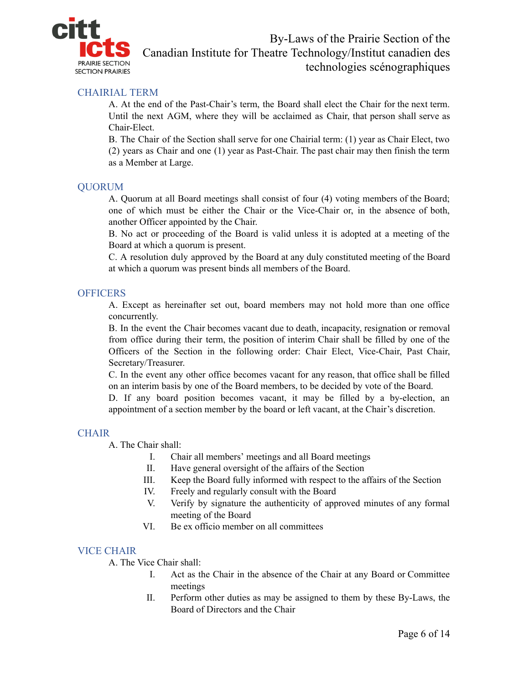

#### CHAIRIAL TERM

A. At the end of the Past-Chair's term, the Board shall elect the Chair for the next term. Until the next AGM, where they will be acclaimed as Chair, that person shall serve as Chair-Elect.

B. The Chair of the Section shall serve for one Chairial term: (1) year as Chair Elect, two (2) years as Chair and one (1) year as Past-Chair. The past chair may then finish the term as a Member at Large.

#### QUORUM

A. Quorum at all Board meetings shall consist of four (4) voting members of the Board; one of which must be either the Chair or the Vice-Chair or, in the absence of both, another Officer appointed by the Chair.

B. No act or proceeding of the Board is valid unless it is adopted at a meeting of the Board at which a quorum is present.

C. A resolution duly approved by the Board at any duly constituted meeting of the Board at which a quorum was present binds all members of the Board.

#### **OFFICERS**

A. Except as hereinafter set out, board members may not hold more than one office concurrently.

B. In the event the Chair becomes vacant due to death, incapacity, resignation or removal from office during their term, the position of interim Chair shall be filled by one of the Officers of the Section in the following order: Chair Elect, Vice-Chair, Past Chair, Secretary/Treasurer.

C. In the event any other office becomes vacant for any reason, that office shall be filled on an interim basis by one of the Board members, to be decided by vote of the Board.

D. If any board position becomes vacant, it may be filled by a by-election, an appointment of a section member by the board or left vacant, at the Chair's discretion.

#### **CHAIR**

A. The Chair shall:

- I. Chair all members' meetings and all Board meetings
- II. Have general oversight of the affairs of the Section
- III. Keep the Board fully informed with respect to the affairs of the Section
- IV. Freely and regularly consult with the Board
- V. Verify by signature the authenticity of approved minutes of any formal meeting of the Board
- VI. Be ex officio member on all committees

#### VICE CHAIR

A. The Vice Chair shall:

- I. Act as the Chair in the absence of the Chair at any Board or Committee meetings
- II. Perform other duties as may be assigned to them by these By-Laws, the Board of Directors and the Chair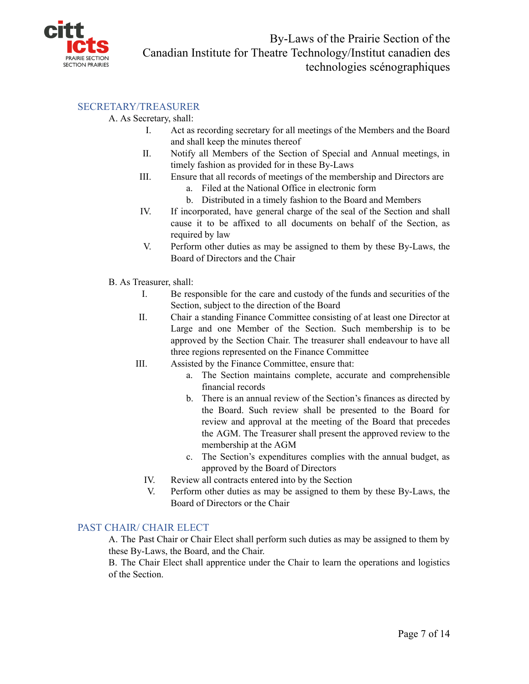

#### SECRETARY/TREASURER

#### A. As Secretary, shall:

- I. Act as recording secretary for all meetings of the Members and the Board and shall keep the minutes thereof
- II. Notify all Members of the Section of Special and Annual meetings, in timely fashion as provided for in these By-Laws
- III. Ensure that all records of meetings of the membership and Directors are
	- a. Filed at the National Office in electronic form
	- b. Distributed in a timely fashion to the Board and Members
- IV. If incorporated, have general charge of the seal of the Section and shall cause it to be affixed to all documents on behalf of the Section, as required by law
- V. Perform other duties as may be assigned to them by these By-Laws, the Board of Directors and the Chair
- B. As Treasurer, shall:
	- I. Be responsible for the care and custody of the funds and securities of the Section, subject to the direction of the Board
	- II. Chair a standing Finance Committee consisting of at least one Director at Large and one Member of the Section. Such membership is to be approved by the Section Chair. The treasurer shall endeavour to have all three regions represented on the Finance Committee
	- III. Assisted by the Finance Committee, ensure that:
		- a. The Section maintains complete, accurate and comprehensible financial records
		- b. There is an annual review of the Section's finances as directed by the Board. Such review shall be presented to the Board for review and approval at the meeting of the Board that precedes the AGM. The Treasurer shall present the approved review to the membership at the AGM
		- c. The Section's expenditures complies with the annual budget, as approved by the Board of Directors
		- IV. Review all contracts entered into by the Section
		- V. Perform other duties as may be assigned to them by these By-Laws, the Board of Directors or the Chair

#### PAST CHAIR/ CHAIR ELECT

A. The Past Chair or Chair Elect shall perform such duties as may be assigned to them by these By-Laws, the Board, and the Chair.

B. The Chair Elect shall apprentice under the Chair to learn the operations and logistics of the Section.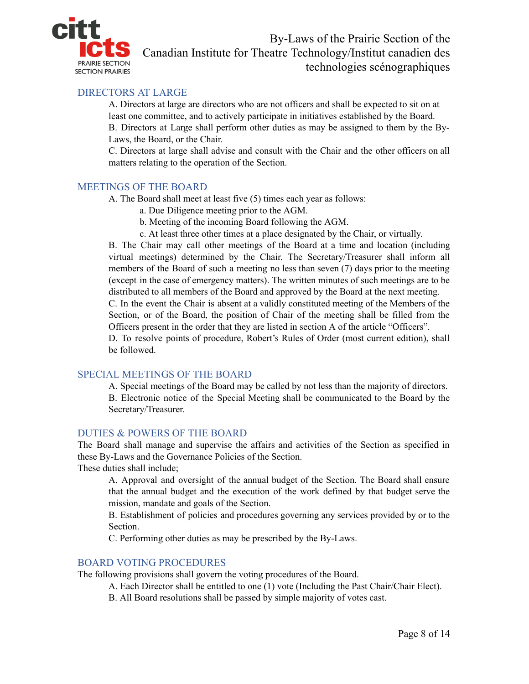

## DIRECTORS AT LARGE

A. Directors at large are directors who are not officers and shall be expected to sit on at least one committee, and to actively participate in initiatives established by the Board. B. Directors at Large shall perform other duties as may be assigned to them by the By-Laws, the Board, or the Chair.

C. Directors at large shall advise and consult with the Chair and the other officers on all matters relating to the operation of the Section.

#### MEETINGS OF THE BOARD

A. The Board shall meet at least five (5) times each year as follows:

- a. Due Diligence meeting prior to the AGM.
- b. Meeting of the incoming Board following the AGM.
- c. At least three other times at a place designated by the Chair, or virtually.

B. The Chair may call other meetings of the Board at a time and location (including virtual meetings) determined by the Chair. The Secretary/Treasurer shall inform all members of the Board of such a meeting no less than seven (7) days prior to the meeting (except in the case of emergency matters). The written minutes of such meetings are to be distributed to all members of the Board and approved by the Board at the next meeting.

C. In the event the Chair is absent at a validly constituted meeting of the Members of the Section, or of the Board, the position of Chair of the meeting shall be filled from the Officers present in the order that they are listed in section A of the article "Officers".

D. To resolve points of procedure, Robert's Rules of Order (most current edition), shall be followed.

#### SPECIAL MEETINGS OF THE BOARD

A. Special meetings of the Board may be called by not less than the majority of directors. B. Electronic notice of the Special Meeting shall be communicated to the Board by the Secretary/Treasurer.

#### DUTIES & POWERS OF THE BOARD

The Board shall manage and supervise the affairs and activities of the Section as specified in these By-Laws and the Governance Policies of the Section.

These duties shall include;

A. Approval and oversight of the annual budget of the Section. The Board shall ensure that the annual budget and the execution of the work defined by that budget serve the mission, mandate and goals of the Section.

B. Establishment of policies and procedures governing any services provided by or to the Section.

C. Performing other duties as may be prescribed by the By-Laws.

#### BOARD VOTING PROCEDURES

The following provisions shall govern the voting procedures of the Board.

A. Each Director shall be entitled to one (1) vote (Including the Past Chair/Chair Elect).

B. All Board resolutions shall be passed by simple majority of votes cast.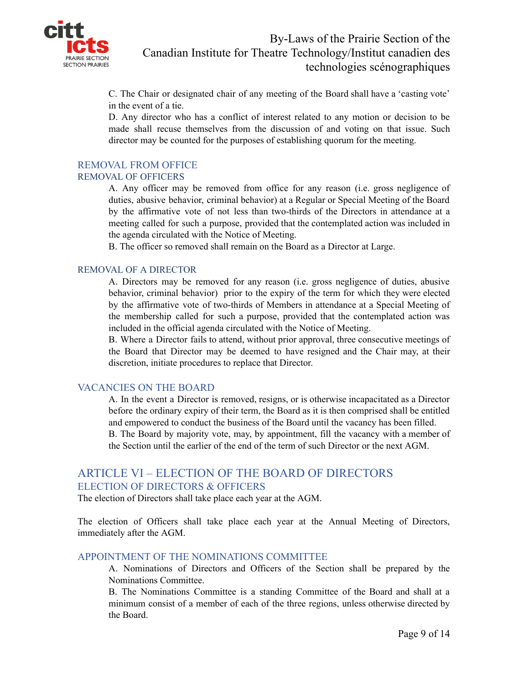

C. The Chair or designated chair of any meeting of the Board shall have a 'casting vote' in the event of a tie.

D. Any director who has a conflict of interest related to any motion or decision to be made shall recuse themselves from the discussion of and voting on that issue. Such director may be counted for the purposes of establishing quorum for the meeting.

#### REMOVAL FROM OFFICE

#### REMOVAL OF OFFICERS

A. Any officer may be removed from office for any reason (i.e. gross negligence of duties, abusive behavior, criminal behavior) at a Regular or Special Meeting of the Board by the affirmative vote of not less than two-thirds of the Directors in attendance at a meeting called for such a purpose, provided that the contemplated action was included in the agenda circulated with the Notice of Meeting.

B. The officer so removed shall remain on the Board as a Director at Large.

#### REMOVAL OF A DIRECTOR

A. Directors may be removed for any reason (i.e. gross negligence of duties, abusive behavior, criminal behavior) prior to the expiry of the term for which they were elected by the affirmative vote of two-thirds of Members in attendance at a Special Meeting of the membership called for such a purpose, provided that the contemplated action was included in the official agenda circulated with the Notice of Meeting.

B. Where a Director fails to attend, without prior approval, three consecutive meetings of the Board that Director may be deemed to have resigned and the Chair may, at their discretion, initiate procedures to replace that Director.

#### VACANCIES ON THE BOARD

A. In the event a Director is removed, resigns, or is otherwise incapacitated as a Director before the ordinary expiry of their term, the Board as it is then comprised shall be entitled and empowered to conduct the business of the Board until the vacancy has been filled. B. The Board by majority vote, may, by appointment, fill the vacancy with a member of the Section until the earlier of the end of the term of such Director or the next AGM.

## ARTICLE VI – ELECTION OF THE BOARD OF DIRECTORS ELECTION OF DIRECTORS & OFFICERS

The election of Directors shall take place each year at the AGM.

The election of Officers shall take place each year at the Annual Meeting of Directors, immediately after the AGM.

#### APPOINTMENT OF THE NOMINATIONS COMMITTEE

A. Nominations of Directors and Officers of the Section shall be prepared by the Nominations Committee.

B. The Nominations Committee is a standing Committee of the Board and shall at a minimum consist of a member of each of the three regions, unless otherwise directed by the Board.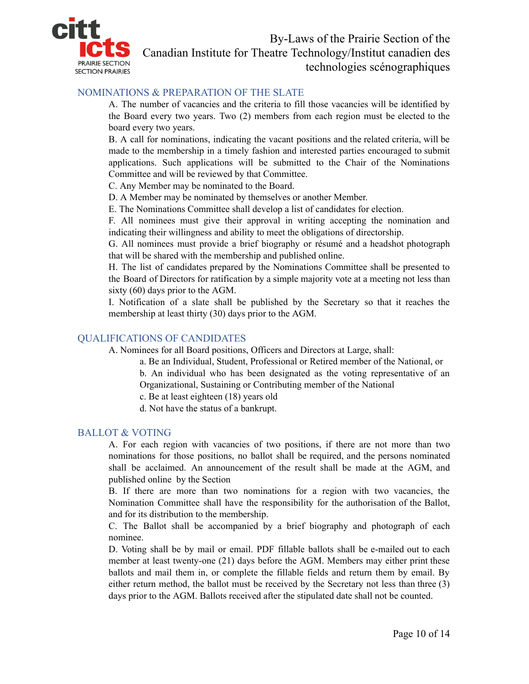

#### NOMINATIONS & PREPARATION OF THE SLATE

A. The number of vacancies and the criteria to fill those vacancies will be identified by the Board every two years. Two (2) members from each region must be elected to the board every two years.

B. A call for nominations, indicating the vacant positions and the related criteria, will be made to the membership in a timely fashion and interested parties encouraged to submit applications. Such applications will be submitted to the Chair of the Nominations Committee and will be reviewed by that Committee.

C. Any Member may be nominated to the Board.

D. A Member may be nominated by themselves or another Member.

E. The Nominations Committee shall develop a list of candidates for election.

F. All nominees must give their approval in writing accepting the nomination and indicating their willingness and ability to meet the obligations of directorship.

G. All nominees must provide a brief biography or résumé and a headshot photograph that will be shared with the membership and published online.

H. The list of candidates prepared by the Nominations Committee shall be presented to the Board of Directors for ratification by a simple majority vote at a meeting not less than sixty (60) days prior to the AGM.

I. Notification of a slate shall be published by the Secretary so that it reaches the membership at least thirty (30) days prior to the AGM.

#### QUALIFICATIONS OF CANDIDATES

A. Nominees for all Board positions, Officers and Directors at Large, shall:

a. Be an Individual, Student, Professional or Retired member of the National, or b. An individual who has been designated as the voting representative of an Organizational, Sustaining or Contributing member of the National

c. Be at least eighteen (18) years old

d. Not have the status of a bankrupt.

#### BALLOT & VOTING

A. For each region with vacancies of two positions, if there are not more than two nominations for those positions, no ballot shall be required, and the persons nominated shall be acclaimed. An announcement of the result shall be made at the AGM, and published online by the Section

B. If there are more than two nominations for a region with two vacancies, the Nomination Committee shall have the responsibility for the authorisation of the Ballot, and for its distribution to the membership.

C. The Ballot shall be accompanied by a brief biography and photograph of each nominee.

D. Voting shall be by mail or email. PDF fillable ballots shall be e-mailed out to each member at least twenty-one (21) days before the AGM. Members may either print these ballots and mail them in, or complete the fillable fields and return them by email. By either return method, the ballot must be received by the Secretary not less than three (3) days prior to the AGM. Ballots received after the stipulated date shall not be counted.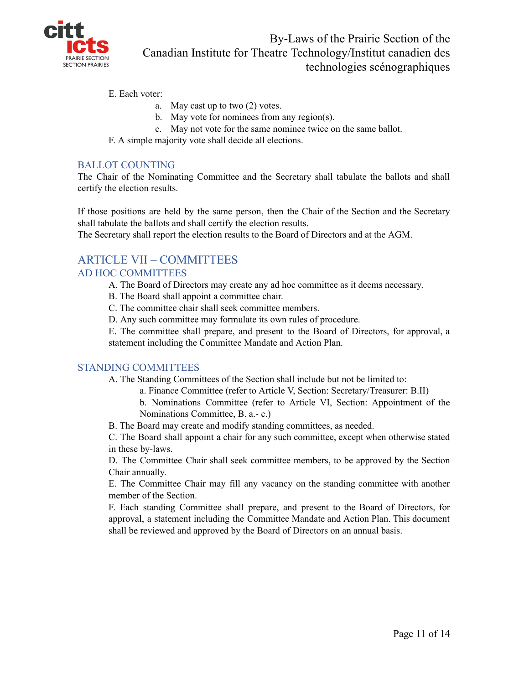

E. Each voter:

- a. May cast up to two (2) votes.
- b. May vote for nominees from any region(s).
- c. May not vote for the same nominee twice on the same ballot.
- F. A simple majority vote shall decide all elections.

## BALLOT COUNTING

The Chair of the Nominating Committee and the Secretary shall tabulate the ballots and shall certify the election results.

If those positions are held by the same person, then the Chair of the Section and the Secretary shall tabulate the ballots and shall certify the election results.

The Secretary shall report the election results to the Board of Directors and at the AGM.

# ARTICLE VII – COMMITTEES

## AD HOC COMMITTEES

- A. The Board of Directors may create any ad hoc committee as it deems necessary.
- B. The Board shall appoint a committee chair.
- C. The committee chair shall seek committee members.
- D. Any such committee may formulate its own rules of procedure.

E. The committee shall prepare, and present to the Board of Directors, for approval, a statement including the Committee Mandate and Action Plan.

#### STANDING COMMITTEES

- A. The Standing Committees of the Section shall include but not be limited to:
	- a. Finance Committee (refer to Article V, Section: Secretary/Treasurer: B.II)
	- b. Nominations Committee (refer to Article VI, Section: Appointment of the Nominations Committee, B. a.- c.)
- B. The Board may create and modify standing committees, as needed.

C. The Board shall appoint a chair for any such committee, except when otherwise stated in these by-laws.

D. The Committee Chair shall seek committee members, to be approved by the Section Chair annually.

E. The Committee Chair may fill any vacancy on the standing committee with another member of the Section.

F. Each standing Committee shall prepare, and present to the Board of Directors, for approval, a statement including the Committee Mandate and Action Plan. This document shall be reviewed and approved by the Board of Directors on an annual basis.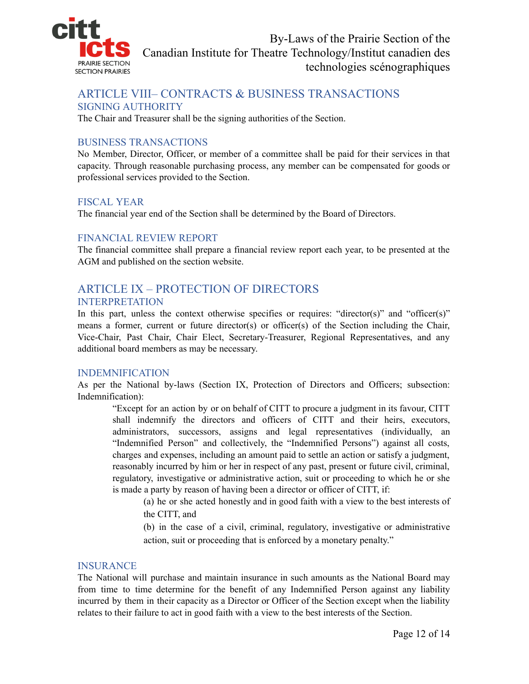

## ARTICLE VIII– CONTRACTS & BUSINESS TRANSACTIONS SIGNING AUTHORITY

The Chair and Treasurer shall be the signing authorities of the Section.

#### BUSINESS TRANSACTIONS

No Member, Director, Officer, or member of a committee shall be paid for their services in that capacity. Through reasonable purchasing process, any member can be compensated for goods or professional services provided to the Section.

#### FISCAL YEAR

The financial year end of the Section shall be determined by the Board of Directors.

#### FINANCIAL REVIEW REPORT

The financial committee shall prepare a financial review report each year, to be presented at the AGM and published on the section website.

## ARTICLE IX – PROTECTION OF DIRECTORS INTERPRETATION

In this part, unless the context otherwise specifies or requires: "director(s)" and "officer(s)" means a former, current or future director(s) or officer(s) of the Section including the Chair, Vice-Chair, Past Chair, Chair Elect, Secretary-Treasurer, Regional Representatives, and any additional board members as may be necessary.

#### INDEMNIFICATION

As per the National by-laws (Section IX, Protection of Directors and Officers; subsection: Indemnification):

"Except for an action by or on behalf of CITT to procure a judgment in its favour, CITT shall indemnify the directors and officers of CITT and their heirs, executors, administrators, successors, assigns and legal representatives (individually, an "Indemnified Person" and collectively, the "Indemnified Persons") against all costs, charges and expenses, including an amount paid to settle an action or satisfy a judgment, reasonably incurred by him or her in respect of any past, present or future civil, criminal, regulatory, investigative or administrative action, suit or proceeding to which he or she is made a party by reason of having been a director or officer of CITT, if:

(a) he or she acted honestly and in good faith with a view to the best interests of the CITT, and

(b) in the case of a civil, criminal, regulatory, investigative or administrative action, suit or proceeding that is enforced by a monetary penalty."

#### INSURANCE

The National will purchase and maintain insurance in such amounts as the National Board may from time to time determine for the benefit of any Indemnified Person against any liability incurred by them in their capacity as a Director or Officer of the Section except when the liability relates to their failure to act in good faith with a view to the best interests of the Section.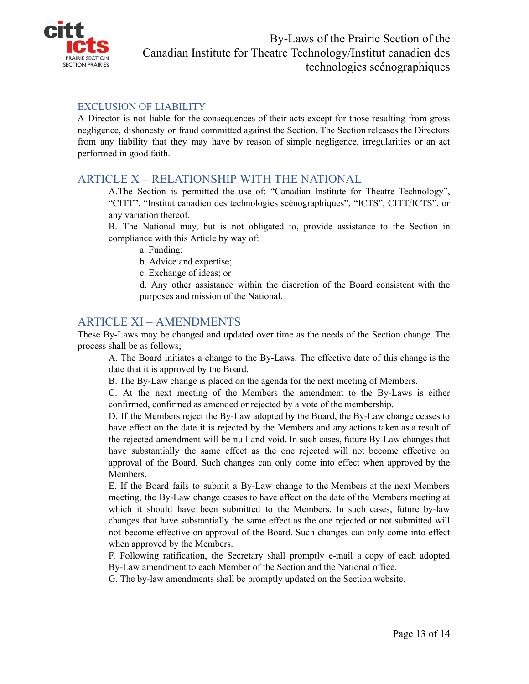

#### EXCLUSION OF LIABILITY

A Director is not liable for the consequences of their acts except for those resulting from gross negligence, dishonesty or fraud committed against the Section. The Section releases the Directors from any liability that they may have by reason of simple negligence, irregularities or an act performed in good faith.

## ARTICLE X – RELATIONSHIP WITH THE NATIONAL

A.The Section is permitted the use of: "Canadian Institute for Theatre Technology", "CITT", "Institut canadien des technologies scénographiques", "ICTS", CITT/ICTS", or any variation thereof.

B. The National may, but is not obligated to, provide assistance to the Section in compliance with this Article by way of:

a. Funding;

b. Advice and expertise;

c. Exchange of ideas; or

d. Any other assistance within the discretion of the Board consistent with the purposes and mission of the National.

## ARTICLE XI – AMENDMENTS

These By-Laws may be changed and updated over time as the needs of the Section change. The process shall be as follows;

A. The Board initiates a change to the By-Laws. The effective date of this change is the date that it is approved by the Board.

B. The By-Law change is placed on the agenda for the next meeting of Members.

C. At the next meeting of the Members the amendment to the By-Laws is either confirmed, confirmed as amended or rejected by a vote of the membership.

D. If the Members reject the By-Law adopted by the Board, the By-Law change ceases to have effect on the date it is rejected by the Members and any actions taken as a result of the rejected amendment will be null and void. In such cases, future By-Law changes that have substantially the same effect as the one rejected will not become effective on approval of the Board. Such changes can only come into effect when approved by the Members.

E. If the Board fails to submit a By-Law change to the Members at the next Members meeting, the By-Law change ceases to have effect on the date of the Members meeting at which it should have been submitted to the Members. In such cases, future by-law changes that have substantially the same effect as the one rejected or not submitted will not become effective on approval of the Board. Such changes can only come into effect when approved by the Members.

F. Following ratification, the Secretary shall promptly e-mail a copy of each adopted By-Law amendment to each Member of the Section and the National office.

G. The by-law amendments shall be promptly updated on the Section website.